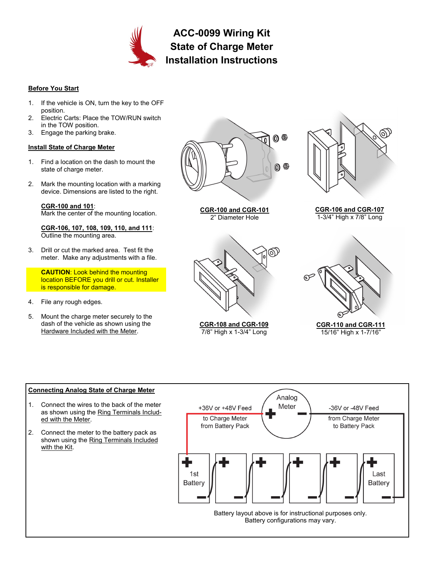

**ACC-0099 Wiring Kit State of Charge Meter Installation Instructions**

## **Before You Start**

- 1. If the vehicle is ON, turn the key to the OFF position.
- 2. Electric Carts: Place the TOW/RUN switch in the TOW position.
- 3. Engage the parking brake.

# **Install State of Charge Meter**

- 1. Find a location on the dash to mount the state of charge meter.
- 2. Mark the mounting location with a marking device. Dimensions are listed to the right.

## **CGR-100 and 101**:

Mark the center of the mounting location.

**CGR-106, 107, 108, 109, 110, and 111**: Outline the mounting area.

3. Drill or cut the marked area. Test fit the meter. Make any adjustments with a file.

**CAUTION**: Look behind the mounting location BEFORE you drill or cut. Installer is responsible for damage.

- 4. File any rough edges.
- 5. Mount the charge meter securely to the dash of the vehicle as shown using the Hardware Included with the Meter.







**CGR-108 and CGR-109** 7/8" High x 1-3/4" Long



**CGR-106 and CGR-107** 1-3/4" High x 7/8" Long



**CGR-110 and CGR-111** 15/16" High x 1-7/16"